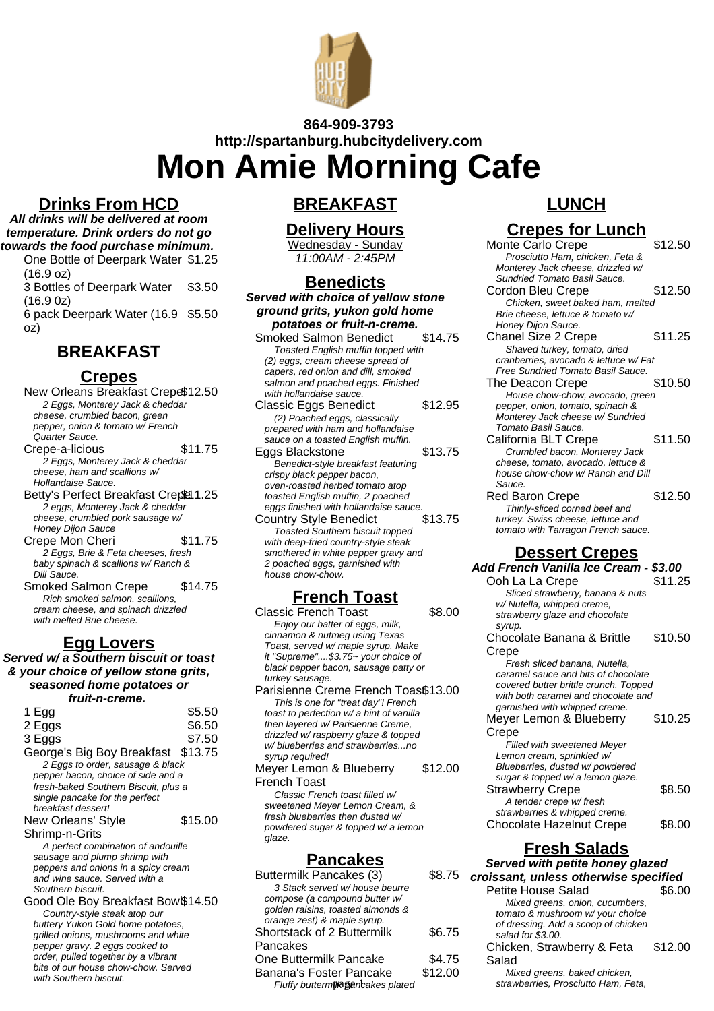

# **864-909-3793 http://spartanburg.hubcitydelivery.com Mon Amie Morning Cafe**

### **Drinks From HCD**

**All drinks will be delivered at room temperature. Drink orders do not go towards the food purchase minimum.**

One Bottle of Deerpark Water \$1.25 (16.9 oz) 3 Bottles of Deerpark Water (16.9 0z) \$3.50 6 pack Deerpark Water (16.9 \$5.50 oz)

## **BREAKFAST**

#### **Crepes**

New Orleans Breakfast Crepe\$12.50 2 Eggs, Monterey Jack & cheddar cheese, crumbled bacon, green pepper, onion & tomato w/ French Quarter Sauce. Crepe-a-licious \$11.75 2 Eggs, Monterey Jack & cheddar cheese, ham and scallions w/ Hollandaise Sauce. Betty's Perfect Breakfast Crepet 1.25 2 eggs, Monterey Jack & cheddar cheese, crumbled pork sausage w/ Honey Dijon Sauce Crepe Mon Cheri \$11.75 2 Eggs, Brie & Feta cheeses, fresh baby spinach & scallions w/ Ranch & Dill Sauce. Smoked Salmon Crepe \$14.75 Rich smoked salmon, scallions, cream cheese, and spinach drizzled

## **Egg Lovers**

with melted Brie cheese.

**Served w/ a Southern biscuit or toast & your choice of yellow stone grits, seasoned home potatoes or fruit-n-creme.**

| 1 Egg                                | \$5.50  |
|--------------------------------------|---------|
| 2 Eggs                               | \$6.50  |
| 3 Eggs                               | \$7.50  |
| George's Big Boy Breakfast \$13.75   |         |
| 2 Eggs to order, sausage & black     |         |
| pepper bacon, choice of side and a   |         |
| fresh-baked Southern Biscuit, plus a |         |
| single pancake for the perfect       |         |
| breakfast dessert!                   |         |
| <b>New Orleans' Style</b>            | \$15.00 |
| Shrimp-n-Grits                       |         |
| A perfect combination of andouille   |         |
| sausage and plump shrimp with        |         |
| peppers and onions in a spicy cream  |         |
| and wine sauce. Served with a        |         |
| Southern biscuit.                    |         |
| Good Ole Boy Breakfast Bow \$14.50   |         |
| Country-style steak atop our         |         |
| buttery Yukon Gold home potatoes,    |         |
| grilled onions, mushrooms and white  |         |

pepper gravy. 2 eggs cooked to order, pulled together by a vibrant bite of our house chow-chow. Served with Southern biscuit.

### **BREAKFAST**

### **Delivery Hours**

Wednesday - Sunday 11:00AM - 2:45PM

### **Benedicts**

**Served with choice of yellow stone ground grits, yukon gold home potatoes or fruit-n-creme.** Smoked Salmon Benedict \$14.75 Toasted English muffin topped with (2) eggs, cream cheese spread of capers, red onion and dill, smoked salmon and poached eggs. Finished with hollandaise sauce. Classic Eggs Benedict \$12.95 (2) Poached eggs, classically prepared with ham and hollandaise sauce on a toasted English muffin. Eggs Blackstone \$13.75 Benedict-style breakfast featuring crispy black pepper bacon, oven-roasted herbed tomato atop toasted English muffin, 2 poached eggs finished with hollandaise sauce. Country Style Benedict Toasted Southern biscuit topped with deep-fried country-style steak smothered in white pepper gravy and 2 poached eggs, garnished with house chow-chow.

## **French Toast**

Classic French Toast \$8.00 Enjoy our batter of eggs, milk, cinnamon & nutmeg using Texas Toast, served w/ maple syrup. Make it "Supreme"....\$3.75~ your choice of black pepper bacon, sausage patty or turkey sausage.

Parisienne Creme French Toas\$13.00 This is one for "treat day"! French toast to perfection w/ a hint of vanilla then layered w/ Parisienne Creme, drizzled w/ raspberry glaze & topped w/ blueberries and strawberries...no syrup required!

Meyer Lemon & Blueberry French Toast \$12.00

Classic French toast filled w/ sweetened Meyer Lemon Cream, & fresh blueberries then dusted w/ powdered sugar & topped w/ a lemon glaze.

#### **Pancakes**

| Buttermilk Pancakes (3)           | \$8.75  |
|-----------------------------------|---------|
| 3 Stack served w/ house beurre    |         |
| compose (a compound butter w/     |         |
| golden raisins, toasted almonds & |         |
| orange zest) & maple syrup.       |         |
| Shortstack of 2 Buttermilk        | \$6.75  |
| Pancakes                          |         |
| One Buttermilk Pancake            | \$4.75  |
| Banana's Foster Pancake           | \$12.00 |
| Fluffy buttermik@encakes plated   |         |

## **LUNCH**

## **Crepes for Lunch**

Monte Carlo Crepe \$12.50 Prosciutto Ham, chicken, Feta & Monterey Jack cheese, drizzled w/ Sundried Tomato Basil Sauce. Cordon Bleu Crepe \$12.50 Chicken, sweet baked ham, melted Brie cheese, lettuce & tomato w/ Honey Dijon Sauce. Chanel Size 2 Crepe \$11.25 Shaved turkey, tomato, dried cranberries, avocado & lettuce w/ Fat Free Sundried Tomato Basil Sauce. The Deacon Crepe \$10.50 House chow-chow, avocado, green pepper, onion, tomato, spinach & Monterey Jack cheese w/ Sundried Tomato Basil Sauce. California BLT Crepe \$11.50 Crumbled bacon, Monterey Jack cheese, tomato, avocado, lettuce & house chow-chow w/ Ranch and Dill Sauce. Red Baron Crepe \$12.50 Thinly-sliced corned beef and turkey. Swiss cheese, lettuce and tomato with Tarragon French sauce. **Dessert Crepes Add French Vanilla Ice Cream - \$3.00** Ooh La La Crepe  $$11.25$ Sliced strawberry, banana & nuts w/ Nutella, whipped creme, strawberry glaze and chocolate syrup. Chocolate Banana & Brittle **Crepe** \$10.50 Fresh sliced banana, Nutella, caramel sauce and bits of chocolate covered butter brittle crunch. Topped with both caramel and chocolate and garnished with whipped creme. Meyer Lemon & Blueberry **Crepe** \$10.25 Filled with sweetened Meyer Lemon cream, sprinkled w/ Blueberries, dusted w/ powdered sugar & topped w/ a lemon glaze. Strawberry Crepe \$8.50 A tender crepe w/ fresh strawberries & whipped creme. Chocolate Hazelnut Crepe \$8.00 **Fresh Salads Served with petite honey glazed**

| Served with petite honey glazed<br>croissant, unless otherwise specified |         |  |
|--------------------------------------------------------------------------|---------|--|
|                                                                          |         |  |
| Mixed greens, onion, cucumbers,                                          |         |  |
| tomato & mushroom w/ your choice                                         |         |  |
| of dressing. Add a scoop of chicken                                      |         |  |
| salad for \$3.00.                                                        |         |  |
| Chicken, Strawberry & Feta                                               | \$12.00 |  |
| Salad                                                                    |         |  |
| Mixed greens, baked chicken,                                             |         |  |
| strawberries, Prosciutto Ham, Feta,                                      |         |  |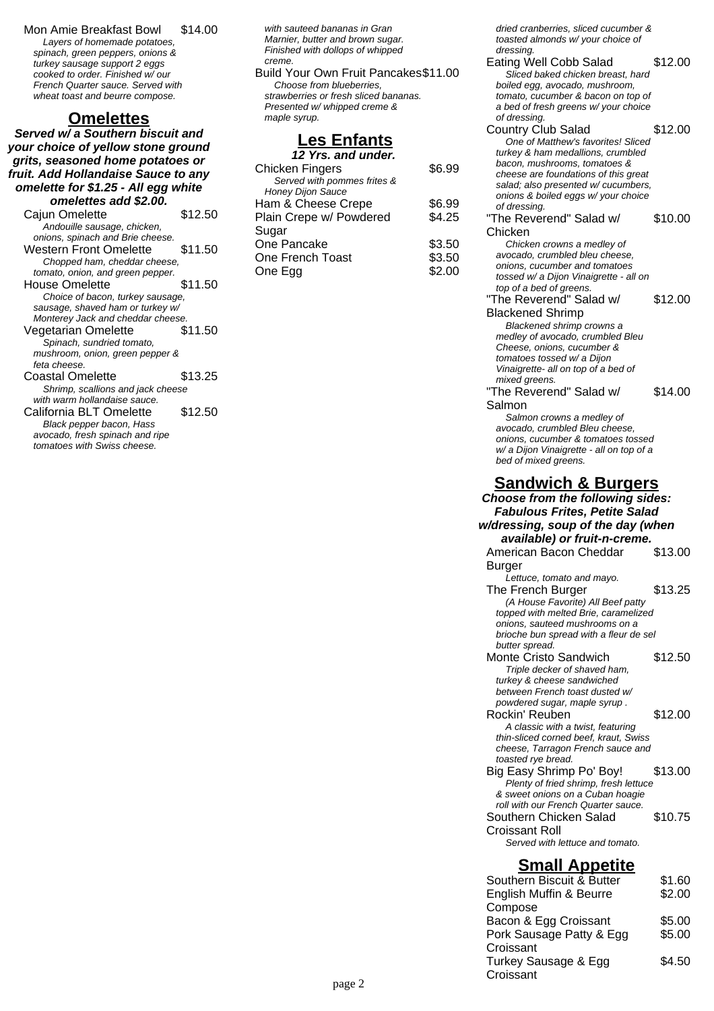Mon Amie Breakfast Bowl \$14.00 Layers of homemade potatoes, spinach, green peppers, onions & turkey sausage support 2 eggs cooked to order. Finished w/ our French Quarter sauce. Served with wheat toast and beurre compose.

#### **Omelettes**

**Served w/ a Southern biscuit and your choice of yellow stone ground grits, seasoned home potatoes or fruit. Add Hollandaise Sauce to any omelette for \$1.25 - All egg white omelettes add \$2.00.**

| Cajun Omelette                    | \$12.50 |
|-----------------------------------|---------|
| Andouille sausage, chicken,       |         |
| onions, spinach and Brie cheese.  |         |
| Western Front Omelette            | \$11.50 |
| Chopped ham, cheddar cheese,      |         |
| tomato, onion, and green pepper.  |         |
| House Omelette                    | \$11.50 |
| Choice of bacon, turkey sausage,  |         |
| sausage, shaved ham or turkey w/  |         |
| Monterey Jack and cheddar cheese. |         |
| Vegetarian Omelette               | \$11.50 |
| Spinach, sundried tomato,         |         |
| mushroom, onion, green pepper &   |         |
| feta cheese.                      |         |
| Coastal Omelette                  | \$13.25 |
| Shrimp, scallions and jack cheese |         |
| with warm hollandaise sauce.      |         |
| California BLT Omelette           | \$12.50 |
| Black pepper bacon, Hass          |         |
| avocado, fresh spinach and ripe   |         |
| tomatoes with Swiss cheese.       |         |

with sauteed bananas in Gran Marnier, butter and brown sugar. Finished with dollops of whipped creme.

Build Your Own Fruit Pancakes\$11.00 Choose from blueberries, strawberries or fresh sliced bananas. Presented w/ whipped creme & maple syrup.

## **Les Enfants**

| 12 Yrs. and under.          |        |
|-----------------------------|--------|
| Chicken Fingers             | \$6.99 |
| Served with pommes frites & |        |
| <b>Honey Dijon Sauce</b>    |        |
| Ham & Cheese Crepe          | \$6.99 |
| Plain Crepe w/ Powdered     | \$4.25 |
| Sugar                       |        |
| One Pancake                 | \$3.50 |
| One French Toast            | \$3.50 |
| One Egg                     | \$2.00 |
|                             |        |

dried cranberries, sliced cucumber & toasted almonds w/ your choice of

- dressing. Eating Well Cobb Salad \$12.00 Sliced baked chicken breast, hard boiled egg, avocado, mushroom, tomato, cucumber & bacon on top of a bed of fresh greens w/ your choice of dressing. Country Club Salad \$12.00 One of Matthew's favorites! Sliced turkey & ham medallions, crumbled bacon, mushrooms, tomatoes & cheese are foundations of this great salad; also presented w/ cucumbers, onions & boiled eggs w/ your choice of dressing. "The Reverend" Salad w/ Chicken \$10.00 Chicken crowns a medley of avocado, crumbled bleu cheese, onions, cucumber and tomatoes tossed w/ a Dijon Vinaigrette - all on top of a bed of greens. "The Reverend" Salad w/ Blackened Shrimp \$12.00 Blackened shrimp crowns a medley of avocado, crumbled Bleu Cheese, onions, cucumber & tomatoes tossed w/ a Dijon Vinaigrette- all on top of a bed of mixed greens. "The Reverend" Salad w/ Salmon \$14.00 Salmon crowns a medley of avocado, crumbled Bleu cheese, onions, cucumber & tomatoes tossed w/ a Dijon Vinaigrette - all on top of a bed of mixed greens. **Sandwich & Burgers Choose from the following sides: Fabulous Frites, Petite Salad w/dressing, soup of the day (when available) or fruit-n-creme.** American Bacon Cheddar Burger \$13.00 Lettuce, tomato and mayo. The French Burger \$13.25 (A House Favorite) All Beef patty topped with melted Brie, caramelized onions, sauteed mushrooms on a brioche bun spread with a fleur de sel butter spread. Monte Cristo Sandwich \$12.50 Triple decker of shaved ham, turkey & cheese sandwiched between French toast dusted w/
- powdered sugar, maple syrup . Rockin' Reuben \$12.00 A classic with a twist, featuring thin-sliced corned beef, kraut, Swiss cheese, Tarragon French sauce and toasted rye bread. Big Easy Shrimp Po' Boy! \$13.00 Plenty of fried shrimp, fresh lettuce & sweet onions on a Cuban hoagie roll with our French Quarter sauce. Southern Chicken Salad Croissant Roll \$10.75 Served with lettuce and tomato.

#### **Small Appetite**

| Southern Biscuit & Butter | \$1.60 |
|---------------------------|--------|
| English Muffin & Beurre   | \$2.00 |
| Compose                   |        |
| Bacon & Egg Croissant     | \$5.00 |
| Pork Sausage Patty & Egg  | \$5.00 |
| Croissant                 |        |
| Turkey Sausage & Egg      | \$4.50 |
| Croissant                 |        |
|                           |        |